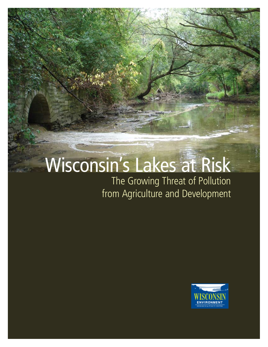# Wisconsin's Lakes at Risk

The Growing Threat of Pollution from Agriculture and Development

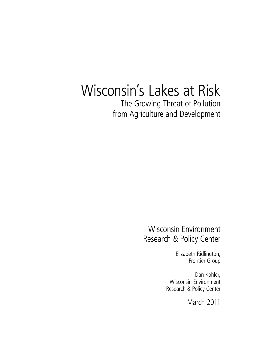# Wisconsin's Lakes at Risk

The Growing Threat of Pollution from Agriculture and Development

### Wisconsin Environment Research & Policy Center

Elizabeth Ridlington, Frontier Group

Dan Kohler, Wisconsin Environment Research & Policy Center

March 2011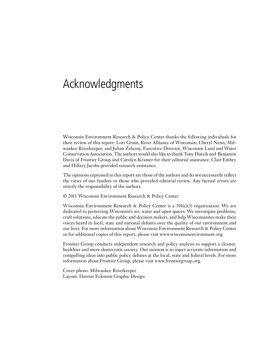# Acknowledgments

Wisconsin Environment Research & Policy Center thanks the following individuals for their review of this report: Lori Grant, River Alliance of Wisconsin; Cheryl Nenn, Milwaukee Riverkeeper; and Julian Zelazny, Executive Director, Wisconsin Land and Water Conservation Association. The authors would also like to thank Tony Dutzik and Benjamin Davis of Frontier Group and Carolyn Kramer for their editorial assistance. Clair Embry and Hillary Jacobs provided research assistance.

The opinions expressed in this report are those of the authors and do not necessarily reflect the views of our funders or those who provided editorial review. Any factual errors are strictly the responsibility of the authors.

© 2011 Wisconsin Environment Research & Policy Center

Wisconsin Environment Research & Policy Center is a  $501(c)(3)$  organization. We are dedicated to protecting Wisconsin's air, water and open spaces. We investigate problems, craft solutions, educate the public and decision makers, and help Wisconsinites make their voices heard in local, state and national debates over the quality of our environment and our lives. For more information about Wisconsin Environment Research & Policy Center or for additional copies of this report, please visit www.wisconsinenvironment.org.

Frontier Group conducts independent research and policy analysis to support a cleaner, healthier and more democratic society. Our mission is to inject accurate information and compelling ideas into public policy debates at the local, state and federal levels. For more information about Frontier Group, please visit www.frontiergroup.org.

Cover photo: Milwaukee Riverkeeper Layout: Harriet Eckstein Graphic Design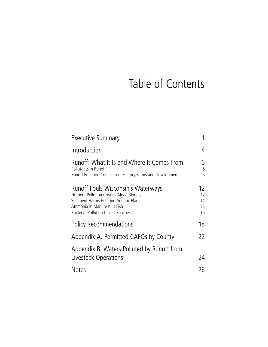# Table of Contents

| Executive Summary                                                                                                                                                                                    |                            |
|------------------------------------------------------------------------------------------------------------------------------------------------------------------------------------------------------|----------------------------|
| Introduction                                                                                                                                                                                         | 4                          |
| Runoff: What It Is and Where It Comes From<br>Pollutants in Runoff<br>Runoff Pollution Comes from Factory Farms and Development                                                                      | 6<br>6<br>6                |
| Runoff Fouls Wisconsin's Waterways<br>Nutrient Pollution Creates Algae Blooms<br>Sediment Harms Fish and Aquatic Plants<br>Ammonia in Manure Kills Fish<br><b>Bacterial Pollution Closes Beaches</b> | 12<br>12<br>14<br>15<br>16 |
| <b>Policy Recommendations</b>                                                                                                                                                                        | 18                         |
| Appendix A. Permitted CAFOs by County                                                                                                                                                                | 22                         |
| Appendix B. Waters Polluted by Runoff from<br>Livestock Operations                                                                                                                                   | 24                         |
| <b>Notes</b>                                                                                                                                                                                         | 26                         |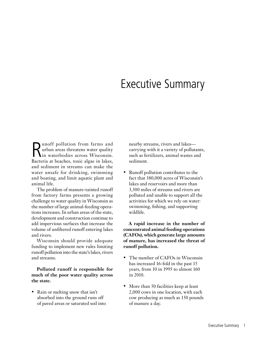## Executive Summary

**R**unoff pollution from farms and<br>
urban areas threatens water quality<br>
in waterbodies across Wisconsin.<br>
Recterie at beeches toxic algae in lakes urban areas threatens water quality in waterbodies across Wisconsin. Bacteria at beaches, toxic algae in lakes, and sediment in streams can make the water unsafe for drinking, swimming and boating, and limit aquatic plant and animal life.

The problem of manure-tainted runoff from factory farms presents a growing challenge to water quality in Wisconsin as the number of large animal-feeding operations increases. In urban areas of the state, development and construction continue to add impervious surfaces that increase the volume of unfiltered runoff entering lakes and rivers.

Wisconsin should provide adequate funding to implement new rules limiting runoff pollution into the state's lakes, rivers and streams.

**Polluted runoff is responsible for much of the poor water quality across the state.** 

• Rain or melting snow that isn't absorbed into the ground runs off of paved areas or saturated soil into nearby streams, rivers and lakes carrying with it a variety of pollutants, such as fertilizers, animal wastes and sediment.

• Runoff pollution contributes to the fact that 380,000 acres of Wisconsin's lakes and reservoirs and more than 3,300 miles of streams and rivers are polluted and unable to support all the activities for which we rely on water: swimming, fishing, and supporting wildlife.

**A rapid increase in the number of concentrated animal feeding operations (CAFOs), which generate large amounts of manure, has increased the threat of runoff pollution.** 

- The number of CAFOs in Wisconsin has increased 16-fold in the past 15 years, from 10 in 1995 to almost 160 in 2010.
- More than 50 facilities keep at least 2,000 cows in one location, with each cow producing as much as 150 pounds of manure a day.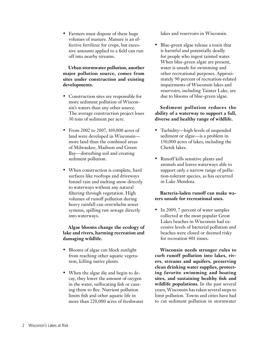sive amounts applied to a field can run off into nearby streams. **Urban stormwater pollution, another** 

#### **major pollution source, comes from sites under construction and existing developments.**

• Farmers must dispose of these huge volumes of manure. Manure is an effective fertilizer for crops, but exces-

- Construction sites are responsible for more sediment pollution of Wisconsin's waters than any other source. The average construction project loses 30 tons of sediment per acre.
- From 2002 to 2007, 169,000 acres of land were developed in Wisconsin more land than the combined areas of Milwaukee, Madison and Green Bay—disturbing soil and creating sediment pollution.
- When construction is complete, hard surfaces like rooftops and driveways funnel rain and melting snow directly to waterways without any natural filtering through vegetation. High volumes of runoff pollution during heavy rainfall can overwhelm sewer systems, spilling raw sewage directly into waterways.

**Algae blooms change the ecology of lake and rivers, harming recreation and damaging wildlife.**

- Blooms of algae can block sunlight from reaching other aquatic vegetation, killing native plants.
- When the algae die and begin to decay, they lower the amount of oxygen in the water, suffocating fish or causing them to flee. Nutrient pollution limits fish and other aquatic life in more than 220,000 acres of freshwater

lakes and reservoirs in Wisconsin.

Blue-green algae release a toxin that is harmful and potentially deadly for people who ingest tainted water. When blue-green algae are present, water is unsafe for swimming and other recreational purposes. Approximately 90 percent of recreation-related impairments of Wisconsin lakes and reservoirs, including Tainter Lake, are due to blooms of blue-green algae.

#### **Sediment pollution reduces the ability of a waterway to support a full, diverse and healthy range of wildlife.**

- Turbidity—high levels of suspended sediment or algae—is a problem in 150,000 acres of lakes, including the Chetek lakes.
- • Runoff kills sensitive plants and animals and leaves waterways able to support only a narrow range of pollution-tolerant species, as has occurred in Lake Mendota.

#### **Bacteria-laden runoff can make waters unsafe for recreational uses.**

• In 2009, 7 percent of water samples collected at the most popular Great Lakes beaches in Wisconsin had excessive levels of bacterial pollution and beaches were closed or deemed risky for recreation 401 times.

**Wisconsin needs stronger rules to curb runoff pollution into lakes, rivers, streams and aquifers, preserving clean drinking water supplies, protecting favorite swimming and boating sites, and sustaining healthy fish and wildlife populations.** In the past several years, Wisconsin has taken several steps to limit pollution. Towns and cities have had to cut sediment pollution in stormwater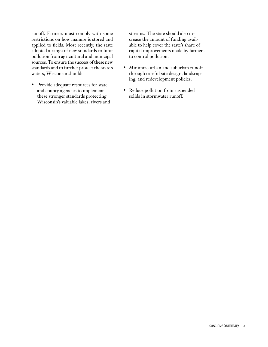runoff. Farmers must comply with some restrictions on how manure is stored and applied to fields. Most recently, the state adopted a range of new standards to limit pollution from agricultural and municipal sources. To ensure the success of these new standards and to further protect the state's waters, Wisconsin should:

• Provide adequate resources for state and county agencies to implement these stronger standards protecting Wisconsin's valuable lakes, rivers and streams. The state should also increase the amount of funding available to help cover the state's share of capital improvements made by farmers to control pollution.

- • Minimize urban and suburban runoff through careful site design, landscaping, and redevelopment policies.
- • Reduce pollution from suspended solids in stormwater runoff.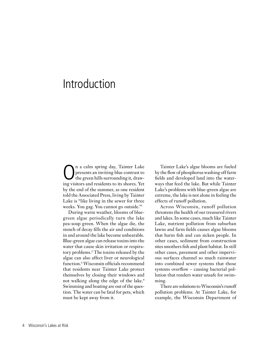# Introduction

**On** a calm spring day, Tainter Lake<br>presents an inviting blue contrast to<br>the green hills surrounding it, draw-<br>ing visitors and residents to its shores. Yet presents an inviting blue contrast to ing visitors and residents to its shores. Yet by the end of the summer, as one resident told the Associated Press, living by Tainter Lake is "like living in the sewer for three weeks. You gag. You cannot go outside."<sup>1</sup>

During warm weather, blooms of bluegreen algae periodically turn the lake pea-soup green. When the algae die, the stench of decay fills the air and conditions in and around the lake become unbearable. Blue-green algae can release toxins into the water that cause skin irritation or respiratory problems.<sup>2</sup> The toxins released by the algae can also affect liver or neurological function.<sup>3</sup> Wisconsin officials recommend that residents near Tainter Lake protect themselves by closing their windows and not walking along the edge of the lake.<sup>4</sup> Swimming and boating are out of the question. The water can be fatal for pets, which must be kept away from it.

Tainter Lake's algae blooms are fueled by the flow of phosphorus washing off farm fields and developed land into the waterways that feed the lake. But while Tainter Lake's problems with blue-green algae are extreme, the lake is not alone in feeling the effects of runoff pollution.

Across Wisconsin, runoff pollution threatens the health of our treasured rivers and lakes. In some cases, much like Tainter Lake, nutrient pollution from suburban lawns and farm fields causes algae blooms that harm fish and can sicken people. In other cases, sediment from construction sites smothers fish and plant habitat. In still other cases, pavement and other impervious surfaces channel so much rainwater into combined sewer systems that those systems overflow – causing bacterial pollution that renders water unsafe for swimming.

There are solutions to Wisconsin's runoff pollution problems. At Tainter Lake, for example, the Wisconsin Department of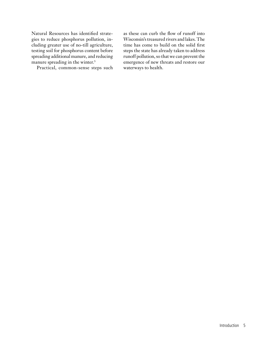Natural Resources has identified strategies to reduce phosphorus pollution, including greater use of no-till agriculture, testing soil for phosphorus content before spreading additional manure, and reducing manure spreading in the winter.<sup>5</sup>

Practical, common-sense steps such

as these can curb the flow of runoff into Wisconsin's treasured rivers and lakes. The time has come to build on the solid first steps the state has already taken to address runoff pollution, so that we can prevent the emergence of new threats and restore our waterways to health.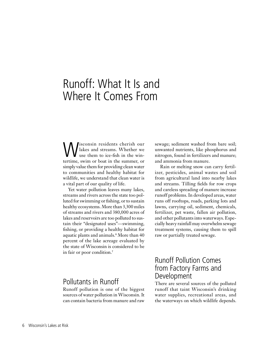# Runoff: What It Is and Where It Comes From

Wisconsin residents cherish our<br>lakes and streams. Whether we<br>tertime suim or bost in the summer or lakes and streams. Whether we use them to ice-fish in the wintertime, swim or boat in the summer, or simply value them for providing clean water to communities and healthy habitat for wildlife, we understand that clean water is a vital part of our quality of life.

Yet water pollution leaves many lakes, streams and rivers across the state too polluted for swimming or fishing, or to sustain healthy ecosystems. More than 3,300 miles of streams and rivers and 380,000 acres of lakes and reservoirs are too polluted to sustain their "designated uses"—swimming, fishing, or providing a healthy habitat for aquatic plants and animals.<sup>6</sup> More than 40 percent of the lake acreage evaluated by the state of Wisconsin is considered to be in fair or poor condition.<sup>7</sup>

### Pollutants in Runoff

Runoff pollution is one of the biggest sources of water pollution in Wisconsin. It can contain bacteria from manure and raw sewage; sediment washed from bare soil; unwanted nutrients, like phosphorus and nitrogen, found in fertilizers and manure; and ammonia from manure.

Rain or melting snow can carry fertilizer, pesticides, animal wastes and soil from agricultural land into nearby lakes and streams. Tilling fields for row crops and careless spreading of manure increase runoff problems. In developed areas, water runs off rooftops, roads, parking lots and lawns, carrying oil, sediment, chemicals, fertilizer, pet waste, fallen air pollution, and other pollutants into waterways. Especially heavy rainfall may overwhelm sewage treatment systems, causing them to spill raw or partially treated sewage.

### Runoff Pollution Comes from Factory Farms and Development

There are several sources of the polluted runoff that taint Wisconsin's drinking water supplies, recreational areas, and the waterways on which wildlife depends.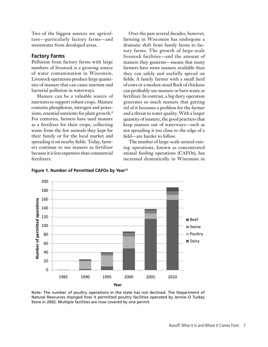Two of the biggest sources are agriculture—particularly factory farms—and stormwater from developed areas.

#### **Factory Farms**

Pollution from factory farms with large numbers of livestock is a growing source of water contamination in Wisconsin. Livestock operations produce large quantities of manure that can cause nutrient and bacterial pollution in waterways.

Manure can be a valuable source of nutrients to support robust crops. Manure contains phosphorus, nitrogen and potassium, essential nutrients for plant growth.<sup>8</sup> For centuries, farmers have used manure as a fertilizer for their crops, collecting waste from the few animals they kept for their family or for the local market and spreading it on nearby fields. Today, farmers continue to use manure as fertilizer because it is less expensive than commercial fertilizers.

Over the past several decades, however, farming in Wisconsin has undergone a dramatic shift from family farms to factory farms. The growth of large-scale livestock facilities—and the amount of manure they generate—means that many farmers have more manure available than they can safely and usefully spread on fields. A family farmer with a small herd of cows or a modest-sized flock of chickens can profitably use manure or barn waste as fertilizer. In contrast, a big dairy operation generates so much manure that getting rid of it becomes a problem for the farmer and a threat to water quality. With a larger quantity of manure, the good practices that keep manure out of waterways—such as not spreading it too close to the edge of a field—are harder to follow.

The number of large-scale animal-raising operations, known as concentrated animal feeding operations (CAFOs), has increased dramatically in Wisconsin in



**Figure 1. Number of Permitted CAFOs by Year12**

Note: The number of poultry operations in the state has not declined. The Department of Natural Resources changed how it permitted poultry facilities operated by Jennie-O Turkey Store in 2002. Multiple facilities are now covered by one permit.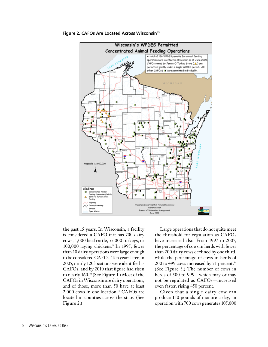



the past 15 years. In Wisconsin, a facility is considered a CAFO if it has 700 dairy cows, 1,000 beef cattle, 55,000 turkeys, or 100,000 laying chickens.<sup>9</sup> In 1995, fewer than 10 dairy operations were large enough to be considered CAFOs. Ten years later, in 2005, nearly 120 locations were identified as CAFOs, and by 2010 that figure had risen to nearly 160.10 (See Figure 1.) Most of the CAFOs in Wisconsin are dairy operations, and of those, more than 50 have at least 2,000 cows in one location.11 CAFOs are located in counties across the state. (See Figure 2.)

Large operations that do not quite meet the threshold for regulation as CAFOs have increased also. From 1997 to 2007, the percentage of cows in herds with fewer than 200 dairy cows declined by one third, while the percentage of cows in herds of 200 to 499 cows increased by 71 percent.<sup>14</sup> (See Figure 3.) The number of cows in herds of 500 to 999—which may or may not be regulated as CAFOs—increased even faster, rising 450 percent.

Given that a single dairy cow can produce 150 pounds of manure a day, an operation with 700 cows generates 105,000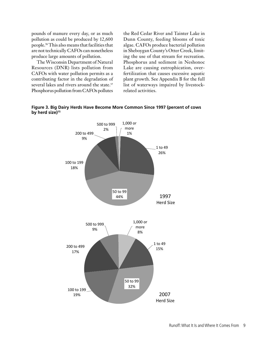pounds of manure every day, or as much pollution as could be produced by 12,600 people.16 This also means that facilities that are not technically CAFOs can nonetheless produce large amounts of pollution.

The Wisconsin Department of Natural Resources (DNR) lists pollution from CAFOs with water pollution permits as a contributing factor in the degradation of several lakes and rivers around the state.<sup>17</sup> Phosphorus pollution from CAFOs pollutes the Red Cedar River and Tainter Lake in Dunn County, feeding blooms of toxic algae. CAFOs produce bacterial pollution in Sheboygan County's Otter Creek, limiting the use of that stream for recreation. Phosphorus and sediment in Neshonoc Lake are causing eutrophication, overfertilization that causes excessive aquatic plant growth. See Appendix B for the full list of waterways impaired by livestockrelated activities.



**Figure 3. Big Dairy Herds Have Become More Common Since 1997 (percent of cows by herd size)15**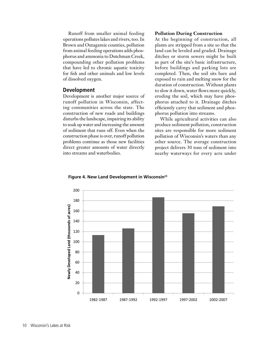Runoff from smaller animal feeding operations pollutes lakes and rivers, too. In Brown and Outagamie counties, pollution from animal feeding operations adds phosphorus and ammonia to Dutchman Creek, compounding other pollution problems that have led to chronic aquatic toxicity for fish and other animals and low levels of dissolved oxygen.

#### **Development**

Development is another major source of runoff pollution in Wisconsin, affecting communities across the state. The construction of new roads and buildings disturbs the landscape, impairing its ability to soak up water and increasing the amount of sediment that runs off. Even when the construction phase is over, runoff pollution problems continue as those new facilities direct greater amounts of water directly into streams and waterbodies.

#### **Pollution During Construction**

At the beginning of construction, all plants are stripped from a site so that the land can be leveled and graded. Drainage ditches or storm sewers might be built as part of the site's basic infrastructure, before buildings and parking lots are completed. Then, the soil sits bare and exposed to rain and melting snow for the duration of construction. Without plants to slow it down, water flows more quickly, eroding the soil, which may have phosphorus attached to it. Drainage ditches efficiently carry that sediment and phosphorus pollution into streams.

While agricultural activities can also produce sediment pollution, construction sites are responsible for more sediment pollution of Wisconsin's waters than any other source. The average construction project delivers 30 tons of sediment into nearby waterways for every acre under



**Figure 4. New Land Development in Wisconsin23**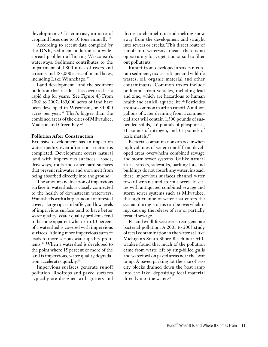development.<sup>18</sup> In contrast, an acre of cropland loses one to 10 tons annually.<sup>19</sup>

According to recent data compiled by the DNR, sediment pollution is a widespread problem afflicting Wisconsin's waterways. Sediment contributes to the impairment of 1,800 miles of rivers and streams and 183,000 acres of inland lakes, including Lake Winnebago.<sup>20</sup>

Land development—and the sediment pollution that results—has occurred at a rapid clip for years. (See Figure 4.) From 2002 to 2007, 169,000 acres of land have been developed in Wisconsin, or 34,000 acres per year.<sup>21</sup> That's bigger than the combined areas of the cities of Milwaukee, Madison and Green Bay.<sup>22</sup>

#### **Pollution After Construction**

Extensive development has an impact on water quality even after construction is completed. Development covers natural land with impervious surfaces—roads, driveways, roofs and other hard surfaces that prevent rainwater and snowmelt from being absorbed directly into the ground.

The amount and location of impervious surface in watersheds is closely connected to the health of downstream waterways. Watersheds with a large amount of forested cover, a large riparian buffer, and low levels of impervious surface tend to have better water quality. Water quality problems tend to become apparent when 5 to 10 percent of a watershed is covered with impervious surfaces. Adding more impervious surface leads to more serious water quality problems.<sup>24</sup> When a watershed is developed to the point where 15 percent or more of the land is impervious, water quality degradation accelerates quickly.<sup>25</sup>

Impervious surfaces generate runoff pollution. Rooftops and paved surfaces typically are designed with gutters and

drains to channel rain and melting snow away from the development and straight into sewers or creeks. This direct route of runoff into waterways means there is no opportunity for vegetation or soil to filter out pollutants.

Runoff from developed areas can contain sediment, toxics, salt, pet and wildlife wastes, oil, organic material and other contaminants. Common toxics include pollutants from vehicles, including lead and zinc, which are hazardous to human health and can kill aquatic life.<sup>26</sup> Pesticides are also common in urban runoff. A million gallons of water draining from a commercial area will contain 1,500 pounds of suspended solids, 2.6 pounds of phosphorus, 31 pounds of nitrogen, and 3.3 pounds of toxic metals.<sup>27</sup>

Bacterial contamination can occur when high volumes of water runoff from developed areas overwhelm combined sewage and storm sewer systems. Unlike natural areas, streets, sidewalks, parking lots and buildings do not absorb any water; instead, these impervious surfaces channel water toward streams and storm sewers. In cities with antiquated combined sewage and storm sewer systems such as Milwaukee, the high volume of water that enters the system during storms can be overwhelming, causing the release of raw or partially treated sewage.

Pet and wildlife wastes also can generate bacterial pollution. A 2001 to 2003 study of fecal contamination in the water at Lake Michigan's South Shore Beach near Milwaukee found that much of the pollution came from waste left by ring-billed gulls and waterfowl on paved areas near the boat ramp. A paved parking lot the size of two city blocks drained down the boat ramp into the lake, depositing fecal material directly into the water.<sup>28</sup>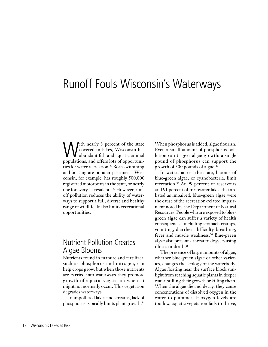# Runoff Fouls Wisconsin's Waterways

With nearly 3 percent of the state<br>covered in lakes, Wisconsin has<br>abundant fish and aquatic animal<br>populations and offers lots of opportuni covered in lakes, Wisconsin has abundant fish and aquatic animal populations, and offers lots of opportunities for water recreation.<sup>29</sup> Both swimming and boating are popular pastimes – Wisconsin, for example, has roughly 500,000 registered motorboats in the state, or nearly one for every 11 residents.30 However, runoff pollution reduces the ability of waterways to support a full, diverse and healthy range of wildlife. It also limits recreational opportunities.

### Nutrient Pollution Creates Algae Blooms

Nutrients found in manure and fertilizer, such as phosphorus and nitrogen, can help crops grow, but when those nutrients are carried into waterways they promote growth of aquatic vegetation where it might not normally occur. This vegetation degrades waterways.

In unpolluted lakes and streams, lack of phosphorus typically limits plant growth.<sup>31</sup>

When phosphorus is added, algae flourish. Even a small amount of phosphorus pollution can trigger algae growth: a single pound of phosphorus can support the growth of 500 pounds of algae.<sup>32</sup>

In waters across the state, blooms of blue-green algae, or cyanobacteria, limit recreation.33 At 99 percent of reservoirs and 91 percent of freshwater lakes that are listed as impaired, blue-green algae were the cause of the recreation-related impairment noted by the Department of Natural Resources. People who are exposed to bluegreen algae can suffer a variety of health consequences, including stomach cramps, vomiting, diarrhea, difficulty breathing, fever and muscle weakness.34 Blue-green algae also present a threat to dogs, causing illness or death.<sup>35</sup>

The presence of large amounts of algae, whether blue-green algae or other varieties, changes the ecology of the waterbody. Algae floating near the surface block sunlight from reaching aquatic plants in deeper water, stifling their growth or killing them. When the algae die and decay, they cause concentrations of dissolved oxygen in the water to plummet. If oxygen levels are too low, aquatic vegetation fails to thrive,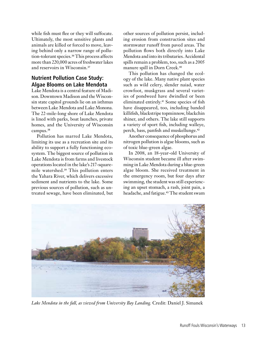while fish must flee or they will suffocate. Ultimately, the most sensitive plants and animals are killed or forced to move, leaving behind only a narrow range of pollution-tolerant species.36 This process affects more than 220,000 acres of freshwater lakes and reservoirs in Wisconsin.<sup>37</sup>

### **Nutrient Pollution Case Study: Algae Blooms on Lake Mendota**

Lake Mendota is a central feature of Madison. Downtown Madison and the Wisconsin state capitol grounds lie on an isthmus between Lake Mendota and Lake Monona. The 22-mile-long shore of Lake Mendota is lined with parks, boat launches, private homes, and the University of Wisconsin campus.<sup>38</sup>

Pollution has marred Lake Mendota, limiting its use as a recreation site and its ability to support a fully functioning ecosystem. The biggest source of pollution in Lake Mendota is from farms and livestock operations located in the lake's 217-squaremile watershed.39 This pollution enters the Yahara River, which delivers excessive sediment and nutrients to the lake. Some previous sources of pollution, such as untreated sewage, have been eliminated, but other sources of pollution persist, including erosion from construction sites and stormwater runoff from paved areas. The pollution flows both directly into Lake Mendota and into its tributaries. Accidental spills remain a problem, too, such as a 2005 manure spill in Dorn Creek.<sup>40</sup>

This pollution has changed the ecology of the lake. Many native plant species such as wild celery, slender naiad, water crowfoot, muskgrass and several varieties of pondweed have dwindled or been eliminated entirely.41 Some species of fish have disappeared, too, including banded killifish, blackstripe topminnow, blackchin shiner, and others. The lake still supports a variety of sport fish, including walleye, perch, bass, panfish and muskellunge.<sup>42</sup>

Another consequence of phosphorus and nitrogen pollution is algae blooms, such as of toxic blue-green algae.

In 2008, an 18-year-old University of Wisconsin student became ill after swimming in Lake Mendota during a blue-green algae bloom. She received treatment in the emergency room, but four days after swimming, the student was still experiencing an upset stomach, a rash, joint pain, a headache, and fatigue.<sup>43</sup> The student swam



*Lake Mendota in the fall, as viewed from University Bay Landing.* Credit: Daniel J. Simanek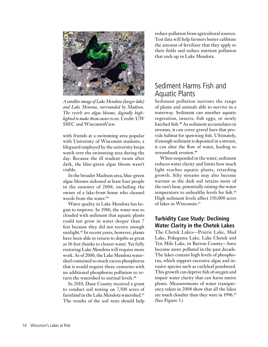

*A satellite image of Lake Mendota (larger lake) and Lake Menona, surrounded by Madison. The swirls are algae blooms, digitally highlighted to make them easier to see.* Credit: UW SSEC and WisconsinView.

with friends at a swimming area popular with University of Wisconsin students; a lifeguard employed by the university keeps watch over the swimming area during the day. Because the ill student swam after dark, the blue-green algae bloom wasn't visible.

In the broader Madison area, blue-green algae blooms sickened at least four people in the summer of 2008, including the owner of a lake-front home who cleaned weeds from the water.<sup>44</sup>

Water quality in Lake Mendota has begun to improve. In 1980, the water was so clouded with sediment that aquatic plants could not grow in water deeper than 7 feet because they did not receive enough sunlight.<sup>45</sup> In recent years, however, plants have been able to return to depths as great as 16 feet thanks to clearer water. Yet fully restoring Lake Mendota will require more work. As of 2000, the Lake Mendota watershed contained so much excess phosphorus that it would require three centuries with no additional phosphorus pollution to return the watershed to normal levels.<sup>46</sup>

In 2010, Dane County received a grant to conduct soil testing on 7,500 acres of farmland in the Lake Mendota watershed.<sup>47</sup> The results of the soil tests should help

reduce pollution from agricultural sources. Test data will help farmers better calibrate the amount of fertilizer that they apply to their fields and reduce nutrient pollution that ends up in Lake Mendota.

### Sediment Harms Fish and Aquatic Plants

Sediment pollution narrows the range of plants and animals able to survive in a waterway. Sediment can smother aquatic vegetation, insects, fish eggs, or newly hatched fish.<sup>48</sup> As sediment accumulates in streams, it can cover gravel bars that provide habitat for spawning fish. Ultimately, if enough sediment is deposited in a stream, it can alter the flow of water, leading to streambank erosion.<sup>49</sup>

When suspended in the water, sediment reduces water clarity and limits how much light reaches aquatic plants, retarding growth. Silty streams may also become warmer as the dark soil retains more of the sun's heat, potentially raising the water temperature to unhealthy levels for fish.<sup>50</sup> High sediment levels affect 150,000 acres of lakes in Wisconsin.<sup>51</sup>

### **Turbidity Case Study: Declining Water Clarity in the Chetek Lakes**

The Chetek Lakes—Prairie Lake, Mud Lake, Pokegama Lake, Lake Chetek and Ten Mile Lake, in Barron County—have become more polluted in the past decade. The lakes contain high levels of phosphorus, which support excessive algae and invasive species such as curlyleaf pondweed. This growth can deprive fish of oxygen and impair water clarity that can harm native plants. Measurements of water transparency taken in 2008 show that all the lakes are much cloudier than they were in 1996.<sup>52</sup> (See Figure 5.)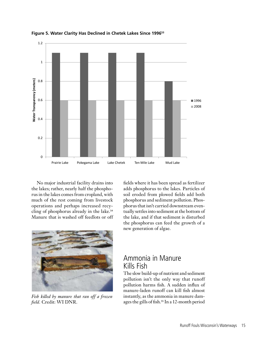

**Figure 5. Water Clarity Has Declined in Chetek Lakes Since 199653**

No major industrial facility drains into the lakes; rather, nearly half the phosphorus in the lakes comes from cropland, with much of the rest coming from livestock operations and perhaps increased recycling of phosphorus already in the lake.<sup>54</sup> Manure that is washed off feedlots or off



*Fish killed by manure that ran off a frozen field.* Credit: WI DNR.

fields where it has been spread as fertilizer adds phosphorus to the lakes. Particles of soil eroded from plowed fields add both phosphorus and sediment pollution. Phosphorus that isn't carried downstream eventually settles into sediment at the bottom of the lake, and if that sediment is disturbed the phosphorus can feed the growth of a new generation of algae.

### Ammonia in Manure Kills Fish

The slow build-up of nutrient and sediment pollution isn't the only way that runoff pollution harms fish. A sudden influx of manure-laden runoff can kill fish almost instantly, as the ammonia in manure damages the gills of fish.<sup>55</sup> In a 12-month period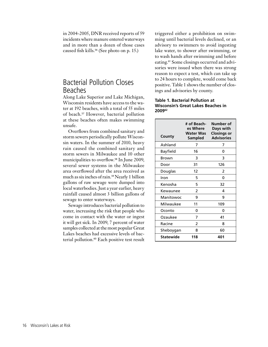in 2004-2005, DNR received reports of 59 incidents where manure entered waterways and in more than a dozen of those cases caused fish kills.<sup>56</sup> (See photo on p. 15.)

### Bacterial Pollution Closes Beaches

Along Lake Superior and Lake Michigan, Wisconsin residents have access to the water at 192 beaches, with a total of 55 miles of beach.57 However, bacterial pollution at these beaches often makes swimming unsafe.

Overflows from combined sanitary and storm sewers periodically pollute Wisconsin waters. In the summer of 2010, heavy rain caused the combined sanitary and storm sewers in Milwaukee and 10 other municipalities to overflow.<sup>58</sup> In June 2009, several sewer systems in the Milwaukee area overflowed after the area received as much as six inches of rain.<sup>59</sup> Nearly 1 billion gallons of raw sewage were dumped into local waterbodies. Just a year earlier, heavy rainfall caused almost 3 billion gallons of sewage to enter waterways.

Sewage introduces bacterial pollution to water, increasing the risk that people who come in contact with the water or ingest it will get sick. In 2009, 7 percent of water samples collected at the most popular Great Lakes beaches had excessive levels of bacterial pollution.<sup>60</sup> Each positive test result

triggered either a prohibition on swimming until bacterial levels declined, or an advisory to swimmers to avoid ingesting lake water, to shower after swimming, or to wash hands after swimming and before eating.61 Some closings occurred and advisories were issued when there was strong reason to expect a test, which can take up to 24 hours to complete, would come back positive. Table 1 shows the number of closings and advisories by county.

#### **Table 1. Bacterial Pollution at Wisconsin's Great Lakes Beaches in 200962**

| County          | # of Beach-<br>es Where<br>Water Was<br>Sampled | Number of<br>Days with<br><b>Closings or</b><br><b>Advisories</b> |
|-----------------|-------------------------------------------------|-------------------------------------------------------------------|
| Ashland         | 7                                               | 7                                                                 |
| <b>Bayfield</b> | 16                                              | 0                                                                 |
| Brown           | 3                                               | 3                                                                 |
| Door            | 31                                              | 126                                                               |
| Douglas         | 12                                              | 2                                                                 |
| Iron            | 5                                               | 0                                                                 |
| Kenosha         | 5                                               | 32                                                                |
| Kewaunee        | 2                                               | 4                                                                 |
| Manitowoc       | 9                                               | 9                                                                 |
| Milwaukee       | 11                                              | 109                                                               |
| Oconto          | 0                                               | 0                                                                 |
| Ozaukee         | 7                                               | 41                                                                |
| Racine          | 2                                               | 8                                                                 |
| Sheboygan       | 8                                               | 60                                                                |
| Statewide       | 118                                             | 401                                                               |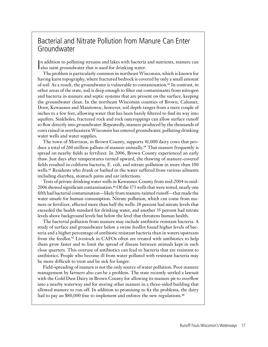### Bacterial and Nitrate Pollution from Manure Can Enter Groundwater

In addition to polluting streams and lakes with bacteria<br>also taint groundwater that is used for drinking water. n addition to polluting streams and lakes with bacteria and nutrients, manure can

The problem is particularly common in northeast Wisconsin, which is known for having karst topography, where fractured bedrock is covered by only a small amount of soil. As a result, the groundwater is vulnerable to contamination.63 In contrast, in other areas of the state, soil is deep enough to filter out contaminants from nitrogen and bacteria in manure and septic systems that are present on the surface, keeping the groundwater clean. In the northeast Wisconsin counties of Brown, Calumet, Door, Kewaunee and Manitowoc, however, soil depth ranges from a mere couple of inches to a few feet, allowing water that has been barely filtered to find its way into aquifers. Sinkholes, fractured rock and rock outcroppings can allow surface runoff to flow directly into groundwater. Repeatedly, manure produced by the thousands of cows raised in northeastern Wisconsin has entered groundwater, polluting drinking water wells and water supplies.

The town of Morrison, in Brown County, supports 41,000 dairy cows that produce a total of 260 million gallons of manure annually.<sup>64</sup> That manure frequently is spread on nearby fields as fertilizer. In 2006, Brown County experienced an early thaw. Just days after temperatures turned upward, the thawing of manure-covered fields resulted in coliform bacteria, E. coli, and nitrate pollution in more than 100 wells.<sup>65</sup> Residents who drank or bathed in the water suffered from various ailments including diarrhea, stomach pains and ear infections.

Tests of private drinking water wells in Kewaunee County from mid-2004 to mid-2006 showed significant contamination.<sup>66</sup> Of the 173 wells that were tested, nearly one fifth had bacterial contamination—likely from manure-tainted runoff—that made the water unsafe for human consumption. Nitrate pollution, which can come from manure or fertilizer, affected more than half the wells: 18 percent had nitrate levels that exceeded the health standard for drinking water, and another 35 percent had nitrate levels above background levels but below the level that threatens human health.

The bacterial pollution from manure may include antibiotic resistant bacteria. A study of surface and groundwater below a swine feedlot found higher levels of bacteria and a higher percentage of antibiotic resistant bacteria than in waters upstream from the feedlot.<sup>67</sup> Livestock in CAFOs often are treated with antibiotics to help them grow faster and to limit the spread of disease between animals kept in such close quarters. This overuse of antibiotics can lead to bacteria that are resistant to antibiotics. People who become ill from water polluted with resistant bacteria may be more difficult to treat and be sick for longer.

Field-spreading of manure is not the only source of water pollution. Poor manure management by farmers also can be a problem. The state recently settled a lawsuit with the Gold Dust Dairy in Brown County for allowing its manure pit to overflow into a nearby waterway and for storing other manure in a three-sided building that allowed manure to run off. In addition to promising to fix the problems, the dairy had to pay an \$80,000 fine to implement and enforce the new regulations.<sup>68</sup>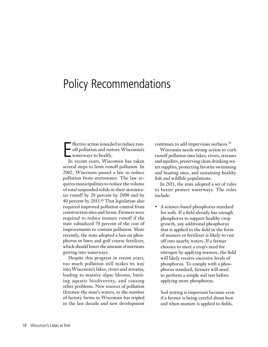# Policy Recommendations

E ffective action isneeded to reduce runoff pollution and restore Wisconsin's waterways to health.

In recent years, Wisconsin has taken several steps to limit runoff pollution. In 2002, Wisconsin passed a law to reduce pollution from stormwater. The law requires municipalities to reduce the volume of total suspended solids in their stormwater runoff by 20 percent by 2008 and by 40 percent by 2013.69 That legislation also required improved pollution control from construction sites and farms. Farmers were required to reduce manure runoff if the state subsidized 70 percent of the cost of improvements to contain pollution. More recently, the state adopted a ban on phosphorus in lawn and golf course fertilizer, which should lower the amount of nutrients getting into waterways.

Despite this progress in recent years, too much pollution still makes its way into Wisconsin's lakes, rivers and streams, leading to massive algae blooms, limiting aquatic biodiversity, and causing other problems. New sources of pollution threaten the state's waters, as the number of factory farms in Wisconsin has tripled in the last decade and new development continues to add impervious surfaces.<sup>70</sup>

Wisconsin needs strong action to curb runoff pollution into lakes, rivers, streams and aquifers, preserving clean drinking water supplies, protecting favorite swimming and boating sites, and sustaining healthy fish and wildlife populations.

In 2011, the state adopted a set of rules to better protect waterways. The rules include:

A science-based phosphorus standard for soils. If a field already has enough phosphorus to support healthy crop growth, any additional phosphorus that is applied to the field in the form of manure or fertilizer is likely to run off into nearby waters. If a farmer chooses to meet a crop's need for nitrogen by applying manure, the field will likely receive excessive levels of phosphorus. To comply with a phosphorus standard, farmers will need to perform a simple soil test before applying more phosphorus.

Soil testing is important because even if a farmer is being careful about how and when manure is applied to fields,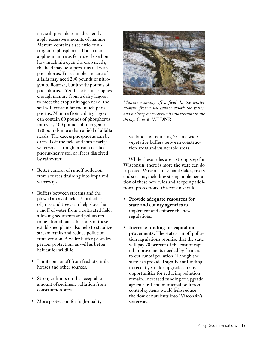it is still possible to inadvertently apply excessive amounts of manure. Manure contains a set ratio of nitrogen to phosphorus. If a farmer applies manure as fertilizer based on how much nitrogen the crop needs, the field may be supersaturated with phosphorus. For example, an acre of alfalfa may need 200 pounds of nitrogen to flourish, but just 40 pounds of phosphorus.<sup>71</sup> Yet if the farmer applies enough manure from a dairy lagoon to meet the crop's nitrogen need, the soil will contain far too much phosphorus. Manure from a dairy lagoon can contain 80 pounds of phosphorus for every 100 pounds of nitrogen, or 120 pounds more than a field of alfalfa needs. The excess phosphorus can be carried off the field and into nearby waterways through erosion of phosphorus-heavy soil or if it is dissolved by rainwater.

- Better control of runoff pollution from sources draining into impaired waterways.
- Buffers between streams and the plowed areas of fields. Untilled areas of grass and trees can help slow the runoff of water from a cultivated field, allowing sediments and pollutants to be filtered out. The roots of these established plants also help to stabilize stream banks and reduce pollution from erosion. A wider buffer provides greater protection, as well as better habitat for wildlife.
- • Limits on runoff from feedlots, milk houses and other sources.
- Stronger limits on the acceptable amount of sediment pollution from construction sites.
- More protection for high-quality



*Manure running off a field. In the winter months, frozen soil cannot absorb the waste, and melting snow carries it into streams in the spring.* Credit: WI DNR.

wetlands by requiring 75-foot-wide vegetative buffers between construction areas and vulnerable areas.

While these rules are a strong step for Wisconsin, there is more the state can do to protect Wisconsin's valuable lakes, rivers and streams, including strong implementation of these new rules and adopting additional protections. Wisconsin should:

- • **Provide adequate resources for state and county agencies** to implement and enforce the new regulations.
- **Increase funding for capital improvements.** The state's runoff pollution regulations promise that the state will pay 70 percent of the cost of capital improvements needed by farmers to cut runoff pollution. Though the state has provided significant funding in recent years for upgrades, many opportunities for reducing pollution remain. Increased funding to upgrade agricultural and municipal pollution control systems would help reduce the flow of nutrients into Wisconsin's waterways.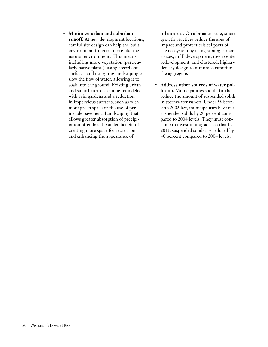• **Minimize urban and suburban runoff.** At new development locations, careful site design can help the built environment function more like the natural environment. This means including more vegetation (particularly native plants), using absorbent surfaces, and designing landscaping to slow the flow of water, allowing it to soak into the ground. Existing urban and suburban areas can be remodeled with rain gardens and a reduction in impervious surfaces, such as with more green space or the use of permeable pavement. Landscaping that allows greater absorption of precipitation often has the added benefit of creating more space for recreation and enhancing the appearance of

urban areas. On a broader scale, smart growth practices reduce the area of impact and protect critical parts of the ecosystem by using strategic open spaces, infill development, town center redevelopment, and clustered, higherdensity design to minimize runoff in the aggregate.

• **Address other sources of water pollution.** Municipalities should further reduce the amount of suspended solids in stormwater runoff. Under Wisconsin's 2002 law, municipalities have cut suspended solids by 20 percent compared to 2004 levels. They must continue to invest in upgrades so that by 2013, suspended solids are reduced by 40 percent compared to 2004 levels.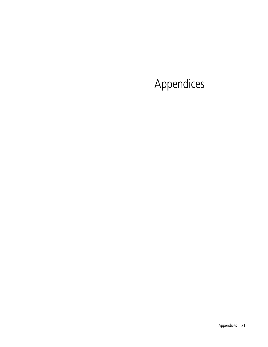# Appendices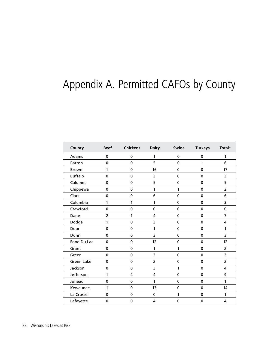# Appendix A. Permitted CAFOs by County

| County            | <b>Beef</b>    | <b>Chickens</b> | <b>Dairy</b>   | Swine       | <b>Turkeys</b> | Total*         |
|-------------------|----------------|-----------------|----------------|-------------|----------------|----------------|
| Adams             | 0              | 0               | 1              | $\mathbf 0$ | 0              | 1              |
| <b>Barron</b>     | 0              | 0               | 5              | $\pmb{0}$   | 1              | 6              |
| Brown             | $\mathbf{1}$   | $\mathbf 0$     | 16             | $\pmb{0}$   | $\mathbf 0$    | 17             |
| <b>Buffalo</b>    | $\mathbf 0$    | $\mathbf 0$     | 3              | $\pmb{0}$   | $\mathbf 0$    | 3              |
| Calumet           | $\mathbf 0$    | 0               | 5              | 0           | 0              | 5              |
| Chippewa          | $\mathbf 0$    | 0               | 1              | 1           | $\mathbf 0$    | $\overline{2}$ |
| Clark             | 0              | 0               | 6              | $\pmb{0}$   | 0              | 6              |
| Columbia          | 1              | 1               | 1              | $\mathbf 0$ | 0              | 3              |
| Crawford          | 0              | 0               | 0              | 0           | 0              | $\pmb{0}$      |
| Dane              | $\overline{2}$ | 1               | 4              | $\pmb{0}$   | 0              | $\overline{7}$ |
| Dodge             | 1              | 0               | 3              | $\pmb{0}$   | 0              | 4              |
| Door              | 0              | 0               | 1              | $\pmb{0}$   | $\mathbf 0$    | 1              |
| Dunn              | $\mathbf 0$    | 0               | 3              | $\pmb{0}$   | 0              | 3              |
| Fond Du Lac       | 0              | $\pmb{0}$       | 12             | $\pmb{0}$   | $\mathbf 0$    | 12             |
| Grant             | $\mathbf 0$    | 0               | 1              | 1           | 0              | 2              |
| Green             | $\mathbf 0$    | $\pmb{0}$       | 3              | $\pmb{0}$   | 0              | 3              |
| <b>Green Lake</b> | $\Omega$       | $\mathbf 0$     | $\overline{2}$ | $\mathbf 0$ | 0              | $\overline{2}$ |
| Jackson           | 0              | $\mathbf 0$     | 3              | 1           | 0              | 4              |
| Jefferson         | 1              | 4               | 4              | $\mathbf 0$ | 0              | 9              |
| Juneau            | $\pmb{0}$      | $\pmb{0}$       | 1              | $\pmb{0}$   | $\pmb{0}$      | 1              |
| Kewaunee          | 1              | 0               | 13             | $\pmb{0}$   | 0              | 14             |
| La Crosse         | $\mathbf 0$    | $\mathbf 0$     | $\pmb{0}$      | 1           | $\mathbf 0$    | 1              |
| Lafayette         | 0              | $\pmb{0}$       | 4              | $\pmb{0}$   | $\mathbf 0$    | 4              |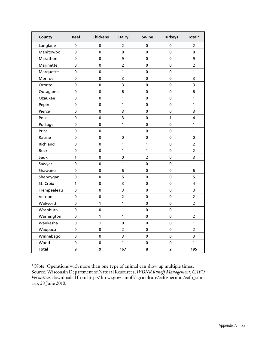| County       | <b>Beef</b> | <b>Chickens</b> | <b>Dairy</b>   | Swine          | <b>Turkeys</b> | Total*         |
|--------------|-------------|-----------------|----------------|----------------|----------------|----------------|
| Langlade     | 0           | 0               | 2              | 0              | 0              | 2              |
| Manitowoc    | $\mathbf 0$ | $\mathbf 0$     | 8              | $\mathbf 0$    | $\mathbf 0$    | 8              |
| Marathon     | 0           | $\mathbf 0$     | 9              | 0              | 0              | 9              |
| Marinette    | 0           | 0               | $\overline{c}$ | $\pmb{0}$      | $\pmb{0}$      | $\overline{2}$ |
| Marquette    | 0           | $\mathbf 0$     | 1              | $\mathbf 0$    | $\mathbf 0$    | 1              |
| Monroe       | 0           | 0               | 3              | 0              | 0              | 3              |
| Oconto       | 0           | 0               | 3              | 0              | 0              | 3              |
| Outagamie    | 0           | $\mathbf 0$     | 6              | $\mathbf 0$    | $\pmb{0}$      | 6              |
| Ozaukee      | $\pmb{0}$   | $\pmb{0}$       | 1              | $\pmb{0}$      | $\pmb{0}$      | $\mathbf{1}$   |
| Pepin        | $\mathbf 0$ | $\mathbf 0$     | 1              | $\mathbf 0$    | $\mathbf 0$    | 1              |
| Pierce       | 0           | $\pmb{0}$       | 3              | $\pmb{0}$      | $\pmb{0}$      | 3              |
| Polk         | $\mathbf 0$ | $\mathbf 0$     | 3              | $\mathbf 0$    | 1              | 4              |
| Portage      | 0           | 0               | 1              | 0              | 0              | 1              |
| Price        | 0           | 0               | 1              | 0              | 0              | 1              |
| Racine       | $\mathbf 0$ | $\mathbf 0$     | $\mathbf 0$    | $\mathbf 0$    | $\mathbf 0$    | $\mathbf 0$    |
| Richland     | $\mathbf 0$ | $\mathbf 0$     | $\mathbf{1}$   | 1              | 0              | $\overline{2}$ |
| Rock         | 0           | $\mathbf 0$     | 1              | $\mathbf{1}$   | 0              | 2              |
| Sauk         | 1           | 0               | $\pmb{0}$      | $\overline{2}$ | 0              | 3              |
| Sawyer       | 0           | $\pmb{0}$       | $\mathbf{1}$   | $\pmb{0}$      | $\pmb{0}$      | $\mathbf{1}$   |
| Shawano      | 0           | $\mathbf 0$     | 6              | $\mathbf 0$    | $\mathbf 0$    | 6              |
| Sheboygan    | 0           | $\mathbf 0$     | 5              | $\mathbf 0$    | $\pmb{0}$      | 5              |
| St. Croix    | 1           | $\mathbf 0$     | 3              | $\mathbf 0$    | 0              | 4              |
| Trempealeau  | $\pmb{0}$   | 0               | 3              | $\mathbf 0$    | $\mathbf 0$    | 3              |
| Vernon       | 0           | $\pmb{0}$       | $\overline{a}$ | $\pmb{0}$      | $\pmb{0}$      | $\overline{2}$ |
| Walworth     | 0           | 1               | 1              | $\mathbf 0$    | $\mathbf 0$    | $\overline{2}$ |
| Washburn     | 0           | $\pmb{0}$       | 1              | $\pmb{0}$      | $\pmb{0}$      | 1              |
| Washington   | 0           | 1               | 1              | $\mathbf 0$    | 0              | 2              |
| Waukesha     | $\pmb{0}$   | 1               | $\pmb{0}$      | $\mathbf 0$    | $\pmb{0}$      | 1              |
| Waupaca      | $\pmb{0}$   | $\mathbf 0$     | $\overline{2}$ | $\pmb{0}$      | $\pmb{0}$      | $\overline{2}$ |
| Winnebago    | 0           | $\pmb{0}$       | 3              | $\pmb{0}$      | $\mathbf 0$    | 3              |
| Wood         | $\pmb{0}$   | $\pmb{0}$       | 1              | $\pmb{0}$      | $\pmb{0}$      | 1              |
| <b>Total</b> | 9           | 9               | 167            | 8              | $\mathbf{2}$   | 195            |

\* Note: Operations with more than one type of animal can show up multiple times. Source: Wisconsin Department of Natural Resources, *WDNR Runoff Management: CAFO Permittees*, downloaded from http://dnr.wi.gov/runoff/agriculture/cafo/permits/cafo\_sum. asp, 28 June 2010.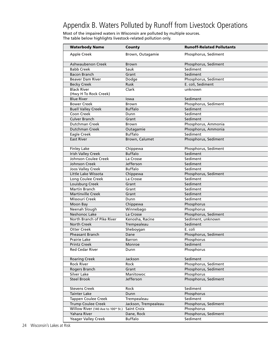### Appendix B. Waters Polluted by Runoff from Livestock Operations

Most of the impaired waters in Wisconsin are polluted by multiple sources. The table below highlights livestock-related pollution only.

| <b>Waterbody Name</b>               | County               | <b>Runoff-Related Pollutants</b> |
|-------------------------------------|----------------------|----------------------------------|
| Apple Creek                         | Brown, Outagamie     | Phosphorus, Sediment             |
|                                     |                      |                                  |
| Ashwaubenon Creek                   | Brown                | Phosphorus, Sediment             |
| <b>Babb Creek</b>                   | Sauk                 | Sediment                         |
| <b>Bacon Branch</b>                 | Grant                | Sediment                         |
| <b>Beaver Dam River</b>             | Dodge                | Phosphorus, Sediment             |
| <b>Becky Creek</b>                  | Rusk                 | E. coli, Sediment                |
| <b>Black River</b>                  | Clark                | unknown                          |
| (Hwy H To Rock Creek)               |                      |                                  |
| <b>Blue River</b>                   | lowa                 | Sediment                         |
| <b>Bower Creek</b>                  | Brown                | Phosphorus, Sediment             |
| <b>Buell Valley Creek</b>           | <b>Buffalo</b>       | Sediment                         |
| Coon Creek                          | Dunn                 | Sediment                         |
| <b>Culver Branch</b>                | Grant                | Sediment                         |
| Dutchman Creek                      | Brown                | Phosphorus, Ammonia              |
| Dutchman Creek                      | Outagamie            | Phosphorus, Ammonia              |
| Eagle Creek                         | <b>Buffalo</b>       | Sediment                         |
| <b>East River</b>                   | Brown, Calumet       | Phosphorus, Sediment             |
|                                     |                      |                                  |
| <b>Finley Lake</b>                  | Chippewa             | Phosphorus, Sediment             |
| <b>Irish Valley Creek</b>           | <b>Buffalo</b>       | Sediment                         |
| Johnson Coulee Creek                | La Crosse            | Sediment                         |
| Johnson Creek                       | Jefferson            | Sediment                         |
| Joos Valley Creek                   | <b>Buffalo</b>       | Sediment                         |
| Little Lake Wissota                 | Chippewa             | Phosphorus, Sediment             |
| Long Coulee Creek                   | La Crosse            | Sediment                         |
| Louisburg Creek                     | Grant                | Sediment                         |
| Martin Branch                       | Grant                | Sediment                         |
| <b>Martinville Creek</b>            | Grant                | Sediment                         |
| Missouri Creek                      | Dunn                 | Sediment                         |
| Moon Bay                            | Chippewa             | Phosphorus                       |
| Neenah Slough                       | Winnebago            | Phosphorus                       |
| Neshonoc Lake                       | La Crosse            | Phosphorus, Sediment             |
| North Branch of Pike River          | Kenosha, Racine      | Sediment, unknown                |
| <b>North Creek</b>                  | Trempealeau          | Sediment                         |
| <b>Otter Creek</b>                  | Sheboygan            | E. coli                          |
| Pheasant Branch                     | Dane                 | Phosphorus, Sediment             |
| Prairie Lake                        | Barron               | <b>Phosphorus</b>                |
| <b>Printz Creek</b>                 | Monroe               | Sediment                         |
| <b>Red Cedar River</b>              | Dunn                 | Phosphorus                       |
|                                     |                      |                                  |
| <b>Roaring Creek</b>                | Jackson              | Sediment                         |
| <b>Rock River</b>                   | Rock                 | Phosphorus, Sediment             |
| Rogers Branch                       | Grant                | Phosphorus, Sediment             |
| Silver Lake                         | Manitowoc            | Phosphorus                       |
| <b>Steel Brook</b>                  | Jefferson            | Phosphorus, Sediment             |
|                                     |                      |                                  |
| <b>Stevens Creek</b>                | Rock                 | Sediment                         |
| <b>Tainter Lake</b>                 | Dunn                 | Phosphorus                       |
| <b>Tappen Coulee Creek</b>          | Trempealeau          | Sediment                         |
| <b>Trump Coulee Creek</b>           | Jackson, Trempealeau | Phosphorus, Sediment             |
| Willow River (140 Ave to 100th St.) | Saint Croix          | Phosphorus                       |
| Yahara River                        | Dane, Rock           | Phosphorus, Sediment             |
| Yeager Valley Creek                 | <b>Buffalo</b>       | Sediment                         |
|                                     |                      |                                  |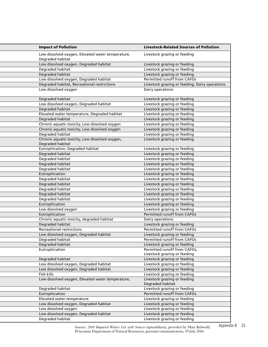| <b>Impact of Pollution</b>                                          | <b>Livestock-Related Sources of Pollution</b>                |
|---------------------------------------------------------------------|--------------------------------------------------------------|
| Low dissolved oxygen, Elevated water temperature,                   | Livestock grazing or feeding                                 |
| Degraded habitat                                                    |                                                              |
| Low dissolved oxygen, Degraded habitat                              | Livestock grazing or feeding                                 |
| Degraded habitat                                                    | Livestock grazing or feeding                                 |
| Degraded habitat                                                    | Livestock grazing or feeding                                 |
| Low dissolved oxygen, Degraded habitat                              | Permitted runoff from CAFOs                                  |
| Degraded habitat, Recreational restrictions                         | Livestock grazing or feeding, Dairy operations               |
| Low dissolved oxygen                                                | Dairy operations                                             |
| Degraded habitat                                                    | Livestock grazing or feeding                                 |
| Low dissolved oxygen, Degraded habitat                              | Livestock grazing or feeding                                 |
| Degraded habitat                                                    | Livestock grazing or feeding                                 |
| Elevated water temperature, Degraded habitat                        | Livestock grazing or feeding                                 |
| Degraded habitat                                                    | Livestock grazing or feeding                                 |
| Chronic aquatic toxicity, Low dissolved oxygen                      | Livestock grazing or feeding                                 |
| Chronic aquatic toxicity, Low dissolved oxygen                      | Livestock grazing or feeding                                 |
| Degraded habitat                                                    | Livestock grazing or feeding                                 |
| Chronic aquatic toxicity, Low dissolved oxygen,<br>Degraded habitat | Livestock grazing or feeding                                 |
| Eutrophication, Degraded habitat                                    | Livestock grazing or feeding                                 |
| Degraded habitat                                                    | Livestock grazing or feeding                                 |
| Degraded habitat                                                    | Livestock grazing or feeding                                 |
| Degraded habitat                                                    | Livestock grazing or feeding                                 |
| Degraded habitat                                                    | Livestock grazing or feeding                                 |
| Eutrophication                                                      | Livestock grazing or feeding                                 |
| Degraded habitat                                                    | Livestock grazing or feeding                                 |
| Degraded habitat                                                    | Livestock grazing or feeding                                 |
| Degraded habitat                                                    | Livestock grazing or feeding                                 |
| Degraded habitat                                                    | Livestock grazing or feeding                                 |
| Degraded habitat                                                    | Livestock grazing or feeding                                 |
| Eutrophication                                                      | Livestock grazing or feeding                                 |
| Low dissolved oxygen                                                | Livestock grazing or feeding                                 |
| Eutrophication                                                      | Permitted runoff from CAFOs                                  |
| Chronic aquatic toxicity, degraded habitat                          | Dairy operations                                             |
| Degraded habitat                                                    | Livestock grazing or feeding                                 |
| <b>Recreational restrictions</b>                                    | Permitted runoff from CAFOs                                  |
| Low dissolved oxygen, Degraded habitat                              | Livestock grazing or feeding                                 |
| Degraded habitat                                                    | Permitted runoff from CAFOs                                  |
| Degraded habitat                                                    | Livestock grazing or feeding                                 |
| Eutrophication                                                      | Permitted runoff from CAFOs,<br>Livestock grazing or feeding |
| Degraded habitat                                                    | Livestock grazing or feeding                                 |
| Low dissolved oxygen, Degraded habitat                              | Livestock grazing or feeding                                 |
| Low dissolved oxygen, Degraded habitat                              | Livestock grazing or feeding                                 |
| Fish kills                                                          | Livestock grazing or feeding                                 |
| Low dissolved oxygen, Elevated water temperature,                   | Livestock grazing or feeding<br>Degraded habitat             |
| Degraded habitat                                                    | Livestock grazing or feeding                                 |
| Eutrophication                                                      | Permitted runoff from CAFOs                                  |
| Elevated water temperature                                          | Livestock grazing or feeding                                 |
| Low dissolved oxygen, Degraded habitat                              | Livestock grazing or feeding                                 |
| Low dissolved oxygen                                                | Livestock grazing or feeding                                 |
| Low dissolved oxygen, Degraded habitat                              | Livestock grazing or feeding                                 |
| Degraded habitat                                                    | Livestock grazing or feeding                                 |

Source: *2010 Impaired Waters List with Sources* (spreadsheet), provided by Matt Rehwald, Wisconsin Department of Natural Resources, personal communication, 19 July 2010.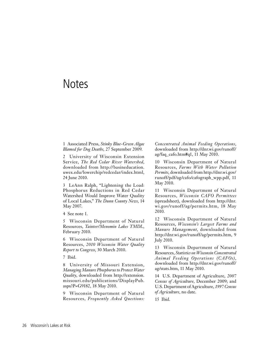## **Notes**

1 Associated Press, *Stinky Blue-Green Algae Blamed for Dog Deaths,* 27 September 2009.

2 University of Wisconsin Extension Service, *The Red Cedar River Watershed*, downloaded from http://basineducation. uwex.edu/lowerchip/redcedar/index.html, 24 June 2010.

3 LeAnn Ralph, "Lightening the Load: Phosphorus Reductions in Red Cedar Watershed Would Improve Water Quality of Local Lakes," *The Dunn County News*, 14 May 2007.

4 See note 1.

5 Wisconsin Department of Natural Resources, *Tainter/Menomin Lakes TMDL*, February 2010.

6 Wisconsin Department of Natural Resources, *2010 Wisconsin Water Quality Report to Congress*, 30 March 2010.

7 Ibid.

8 University of Missouri Extension, *Managing Manure Phosphorus to Protect Water Quality*, downloaded from http://extension. missouri.edu/publications/DisplayPub. aspx?P=G9182, 18 May 2010.

9 Wisconsin Department of Natural Resources, *Frequently Asked Questions:* 

*Concentrated Animal Feeding Operations*, downloaded from http://dnr.wi.gov/runoff/ ag/faq\_cafo.htm#q1, 11 May 2010.

10 Wisconsin Department of Natural Resources, *Farms With Water Pollution Permits*, downloaded from http://dnr.wi.gov/ runoff/pdf/ag/cafo/cafograph\_wpp.pdf, 11 May 2010.

11 Wisconsin Department of Natural Resources, *Wisconsin CAFO Permittees* (spreadsheet), downloaded from http://dnr. wi.gov/runoff/ag/permits.htm, 18 May 2010.

12 Wisconsin Department of Natural Resources, *Wisconsin's Largest Farms and Manure Management*, downloaded from http://dnr.wi.gov/runoff/ag/permits.htm, 9 July 2010.

13 Wisconsin Department of Natural Resources, *Statistics on Wisconsin Concentrated Animal Feeding Operations (CAFOs)*, downloaded from http://dnr.wi.gov/runoff/ ag/stats.htm, 11 May 2010.

14 U.S. Department of Agriculture, *2007 Census of Agriculture*, December 2009; and U.S. Department of Agriculture, *1997 Census of Agriculture*, no date.

15 Ibid.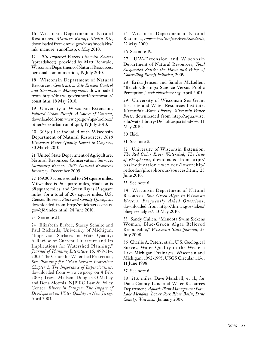16 Wisconsin Department of Natural Resources, *Manure Runoff Media Kit*, downloaded from dnr.wi.gov/news/mediakits/ mk\_manure\_runoff.asp, 6 May 2010.

17 *2010 Impaired Waters List with Sources* (spreadsheet), provided by Matt Rehwald, Wisconsin Department of Natural Resources, personal communication, 19 July 2010.

18 Wisconsin Department of Natural Resources, *Construction Site Erosion Control and Stormwater Management*, downloaded from http://dnr.wi.gov/runoff/stormwater/ const.htm, 18 May 2010.

19 University of Wisconsin-Extension, *Polluted Urban Runoff: A Source of Concern*, downloaded from www.epa.gov/nps/toolbox/ other/wiexurbanrunoff.pdf, 19 July 2010.

20 303(d) list included with Wisconsin Department of Natural Resources, *2010 Wisconsin Water Quality Report to Congress*, 30 March 2010.

21 United State Department of Agriculture, Natural Resources Conservation Service, *Summary Report: 2007 Natural Resources Inventory*, December 2009.

22 169,000 acres is equal to 264 square miles. Milwaukee is 96 square miles, Madison is 68 square miles, and Green Bay is 43 square miles, for a total of 207 square miles. U.S. Census Bureau, *State and County Quickfacts*, downloaded from http://quickfacts.census. gov/qfd/index.html, 24 June 2010.

23 See note 21.

24 Elizabeth Brabec, Stacey Schulte and Paul Richards, University of Michigan, "Impervious Surfaces and Water Quality: A Review of Current Literature and Its Implications for Watershed Planning," *Journal of Planning Literature* 16, 499-514, 2002; The Center for Watershed Protection, *Site Planning for Urban Stream Protection: Chapter 2, The Importance of Imperviousness*, downloaded from www.cwp.org on 4 Feb. 2003; Travis Madsen, Douglas O'Malley and Dena Mottola, NJPIRG Law & Policy Center, *Rivers in Danger: The Impact of Development on Water Quality in New Jersey,*  April 2003.

25 Wisconsin Department of Natural Resources, *Impervious Surface Area Standards*, 22 May 2000.

26 See note 19.

27 UW-Extension and Wisconsin Department of Natural Resources, *Total Suspended Solids: the Hows and Whys of Controlling Runoff Pollution*, 2009.

28 Erika Jensen and Sandra McLellen, "Beach Closings: Science Versus Public Perception," *actionbioscience.org*, April 2005.

29 University of Wisconsin Sea Grant Institute and Water Resources Institute, *Wisconsin's Water Library: Wisconsin Water Facts*, downloaded from http://aqua.wisc. edu/waterlibrary/Default.aspx?tabid=74, 11 May 2010.

30 Ibid.

31 See note 8.

32 University of Wisconsin Extension, *The Red Cedar River Watershed, The Issue of Phosphorus*, downloaded from http:// basineducation.uwex.edu /lowerchip/ redcedar/phosphorous/sources.html, 23 June 2010.

33 See note 6.

34 Wisconsin Department of Natural Resources, *Blue Green Algae in Wisconsin Waters, Frequently A sked Ques tions*, downloaded from http://dnr.wi.gov/lakes/ bluegreenalgae/, 13 May 2010.

35 Sandy Cullen, "Mendota Swim Sickens Woman, Blue-Green Algae Believed Responsible," *Wisconsin State Journal*, 23 July 2008.

36 Charlie A. Peters, et al., U.S. Geological Survey, Water Quality in the Western Lake Michigan Drainages, Wisconsin and Michigan, 1992-1995, USGS Circular 1156, 11 June 1998.

37 See note 6.

38 21.6 miles: Dave Marshall, et al., for Dane County Land and Water Resources Department, *Aquatic Plant Management Plan, Lake Mendota, Lower Rock River Basin, Dane County, Wisconsin*, January 2007.